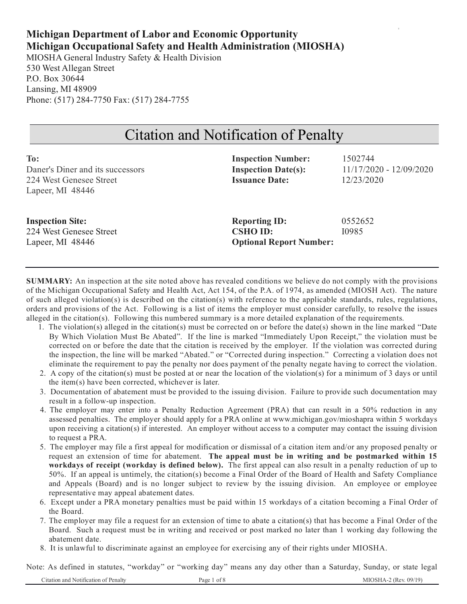# **Michigan Department of Labor and Economic Opportunity Michigan Occupational Safety and Health Administration (MIOSHA)**

MIOSHA General Industry Safety & Health Division 530 West Allegan Street P.O. Box 30644 Lansing, MI 48909 Phone: (517) 284-7750 Fax: (517) 284-7755

# Citation and Notification of Penalty

| To:                              | <b>Inspection Number:</b>      | 1502744                 |
|----------------------------------|--------------------------------|-------------------------|
| Daner's Diner and its successors | <b>Inspection Date(s):</b>     | 11/17/2020 - 12/09/2020 |
| 224 West Genesee Street          | <b>Issuance Date:</b>          | 12/23/2020              |
| Lapeer, MI $48446$               |                                |                         |
|                                  |                                |                         |
| <b>Inspection Site:</b>          | <b>Reporting ID:</b>           | 0552652                 |
| 224 West Genesee Street          | <b>CSHO ID:</b>                | I0985                   |
| Lapeer, MI $48446$               | <b>Optional Report Number:</b> |                         |
|                                  |                                |                         |

**SUMMARY:** An inspection at the site noted above has revealed conditions we believe do not comply with the provisions of the Michigan Occupational Safety and Health Act, Act 154, of the P.A. of 1974, as amended (MIOSH Act). The nature of such alleged violation(s) is described on the citation(s) with reference to the applicable standards, rules, regulations, orders and provisions of the Act. Following is a list of items the employer must consider carefully, to resolve the issues alleged in the citation(s). Following this numbered summary is a more detailed explanation of the requirements.

- 1. The violation(s) alleged in the citation(s) must be corrected on or before the date(s) shown in the line marked "Date By Which Violation Must Be Abated". If the line is marked "Immediately Upon Receipt," the violation must be corrected on or before the date that the citation is received by the employer. If the violation was corrected during the inspection, the line will be marked "Abated." or "Corrected during inspection." Correcting a violation does not eliminate the requirement to pay the penalty nor does payment of the penalty negate having to correct the violation.
- 2. A copy of the citation(s) must be posted at or near the location of the violation(s) for a minimum of 3 days or until the item(s) have been corrected, whichever is later.
- 3. Documentation of abatement must be provided to the issuing division. Failure to provide such documentation may result in a follow-up inspection.
- 4. The employer may enter into a Penalty Reduction Agreement (PRA) that can result in a 50% reduction in any assessed penalties. The employer should apply for a PRA online at www.michigan.gov/mioshapra within 5 workdays upon receiving a citation(s) if interested. An employer without access to a computer may contact the issuing division to request a PRA.
- 5. The employer may file a first appeal for modification or dismissal of a citation item and/or any proposed penalty or request an extension of time for abatement. **The appeal must be in writing and be postmarked within 15 workdays of receipt (workday is defined below).** The first appeal can also result in a penalty reduction of up to 50%. If an appeal is untimely, the citation(s) become a Final Order of the Board of Health and Safety Compliance and Appeals (Board) and is no longer subject to review by the issuing division. An employee or employee representative may appeal abatement dates.
- 6. Except under a PRA monetary penalties must be paid within 15 workdays of a citation becoming a Final Order of the Board.
- 7. The employer may file a request for an extension of time to abate a citation(s) that has become a Final Order of the Board. Such a request must be in writing and received or post marked no later than 1 working day following the abatement date.
- 8. It is unlawful to discriminate against an employee for exercising any of their rights under MIOSHA.

Note: As defined in statutes, "workday" or "working day" means any day other than a Saturday, Sunday, or state legal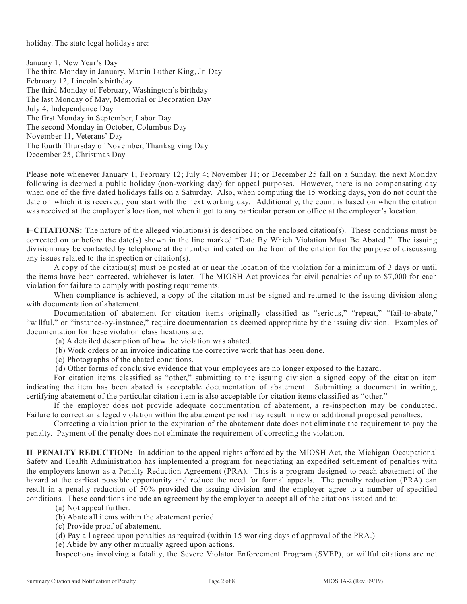holiday. The state legal holidays are:

January 1, New Year's Day The third Monday in January, Martin Luther King, Jr. Day February 12, Lincoln's birthday The third Monday of February, Washington's birthday The last Monday of May, Memorial or Decoration Day July 4, Independence Day The first Monday in September, Labor Day The second Monday in October, Columbus Day November 11, Veterans' Day The fourth Thursday of November, Thanksgiving Day December 25, Christmas Day

Please note whenever January 1; February 12; July 4; November 11; or December 25 fall on a Sunday, the next Monday following is deemed a public holiday (non-working day) for appeal purposes. However, there is no compensating day when one of the five dated holidays falls on a Saturday. Also, when computing the 15 working days, you do not count the date on which it is received; you start with the next working day. Additionally, the count is based on when the citation was received at the employer's location, not when it got to any particular person or office at the employer's location.

**I–CITATIONS:** The nature of the alleged violation(s) is described on the enclosed citation(s). These conditions must be corrected on or before the date(s) shown in the line marked "Date By Which Violation Must Be Abated." The issuing division may be contacted by telephone at the number indicated on the front of the citation for the purpose of discussing any issues related to the inspection or citation(s).

A copy of the citation(s) must be posted at or near the location of the violation for a minimum of 3 days or until the items have been corrected, whichever is later. The MIOSH Act provides for civil penalties of up to \$7,000 for each violation for failure to comply with posting requirements.

When compliance is achieved, a copy of the citation must be signed and returned to the issuing division along with documentation of abatement.

Documentation of abatement for citation items originally classified as "serious," "repeat," "fail-to-abate," "willful," or "instance-by-instance," require documentation as deemed appropriate by the issuing division. Examples of documentation for these violation classifications are:

(a) A detailed description of how the violation was abated.

- (b) Work orders or an invoice indicating the corrective work that has been done.
- (c) Photographs of the abated conditions.
- (d) Other forms of conclusive evidence that your employees are no longer exposed to the hazard.

For citation items classified as "other," submitting to the issuing division a signed copy of the citation item indicating the item has been abated is acceptable documentation of abatement. Submitting a document in writing, certifying abatement of the particular citation item is also acceptable for citation items classified as "other."

If the employer does not provide adequate documentation of abatement, a re-inspection may be conducted. Failure to correct an alleged violation within the abatement period may result in new or additional proposed penalties.

Correcting a violation prior to the expiration of the abatement date does not eliminate the requirement to pay the penalty. Payment of the penalty does not eliminate the requirement of correcting the violation.

**II–PENALTY REDUCTION:** In addition to the appeal rights afforded by the MIOSH Act, the Michigan Occupational Safety and Health Administration has implemented a program for negotiating an expedited settlement of penalties with the employers known as a Penalty Reduction Agreement (PRA). This is a program designed to reach abatement of the hazard at the earliest possible opportunity and reduce the need for formal appeals. The penalty reduction (PRA) can result in a penalty reduction of 50% provided the issuing division and the employer agree to a number of specified conditions. These conditions include an agreement by the employer to accept all of the citations issued and to:

- (a) Not appeal further.
- (b) Abate all items within the abatement period.
- (c) Provide proof of abatement.
- (d) Pay all agreed upon penalties as required (within 15 working days of approval of the PRA.)

(e) Abide by any other mutually agreed upon actions.

Inspections involving a fatality, the Severe Violator Enforcement Program (SVEP), or willful citations are not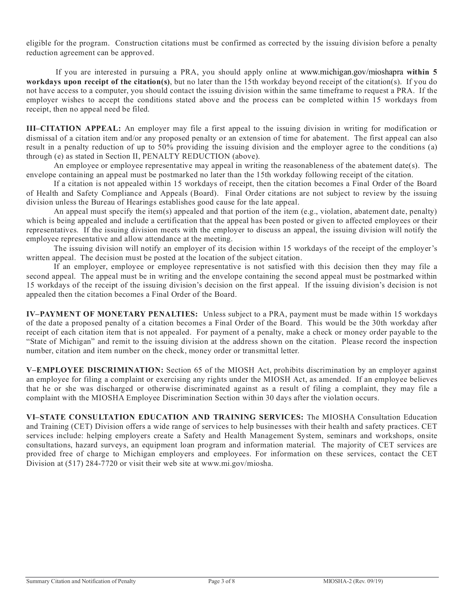eligible for the program. Construction citations must be confirmed as corrected by the issuing division before a penalty reduction agreement can be approved.

If you are interested in pursuing a PRA, you should apply online at www.michigan.gov/mioshapra **within 5 workdays upon receipt of the citation(s)**, but no later than the 15th workday beyond receipt of the citation(s). If you do not have access to a computer, you should contact the issuing division within the same timeframe to request a PRA. If the employer wishes to accept the conditions stated above and the process can be completed within 15 workdays from receipt, then no appeal need be filed.

**III–CITATION APPEAL:** An employer may file a first appeal to the issuing division in writing for modification or dismissal of a citation item and/or any proposed penalty or an extension of time for abatement. The first appeal can also result in a penalty reduction of up to 50% providing the issuing division and the employer agree to the conditions (a) through (e) as stated in Section II, PENALTY REDUCTION (above).

An employee or employee representative may appeal in writing the reasonableness of the abatement date(s). The envelope containing an appeal must be postmarked no later than the 15th workday following receipt of the citation.

If a citation is not appealed within 15 workdays of receipt, then the citation becomes a Final Order of the Board of Health and Safety Compliance and Appeals (Board). Final Order citations are not subject to review by the issuing division unless the Bureau of Hearings establishes good cause for the late appeal.

An appeal must specify the item(s) appealed and that portion of the item (e.g., violation, abatement date, penalty) which is being appealed and include a certification that the appeal has been posted or given to affected employees or their representatives. If the issuing division meets with the employer to discuss an appeal, the issuing division will notify the employee representative and allow attendance at the meeting.

The issuing division will notify an employer of its decision within 15 workdays of the receipt of the employer's written appeal. The decision must be posted at the location of the subject citation.

If an employer, employee or employee representative is not satisfied with this decision then they may file a second appeal. The appeal must be in writing and the envelope containing the second appeal must be postmarked within 15 workdays of the receipt of the issuing division's decision on the first appeal. If the issuing division's decision is not appealed then the citation becomes a Final Order of the Board.

**IV–PAYMENT OF MONETARY PENALTIES:** Unless subject to a PRA, payment must be made within 15 workdays of the date a proposed penalty of a citation becomes a Final Order of the Board. This would be the 30th workday after receipt of each citation item that is not appealed. For payment of a penalty, make a check or money order payable to the "State of Michigan" and remit to the issuing division at the address shown on the citation. Please record the inspection number, citation and item number on the check, money order or transmittal letter.

**V–EMPLOYEE DISCRIMINATION:** Section 65 of the MIOSH Act, prohibits discrimination by an employer against an employee for filing a complaint or exercising any rights under the MIOSH Act, as amended. If an employee believes that he or she was discharged or otherwise discriminated against as a result of filing a complaint, they may file a complaint with the MIOSHA Employee Discrimination Section within 30 days after the violation occurs.

**VI–STATE CONSULTATION EDUCATION AND TRAINING SERVICES:** The MIOSHA Consultation Education and Training (CET) Division offers a wide range of services to help businesses with their health and safety practices. CET services include: helping employers create a Safety and Health Management System, seminars and workshops, onsite consultations, hazard surveys, an equipment loan program and information material. The majority of CET services are provided free of charge to Michigan employers and employees. For information on these services, contact the CET Division at (517) 284-7720 or visit their web site at www.mi.gov/miosha.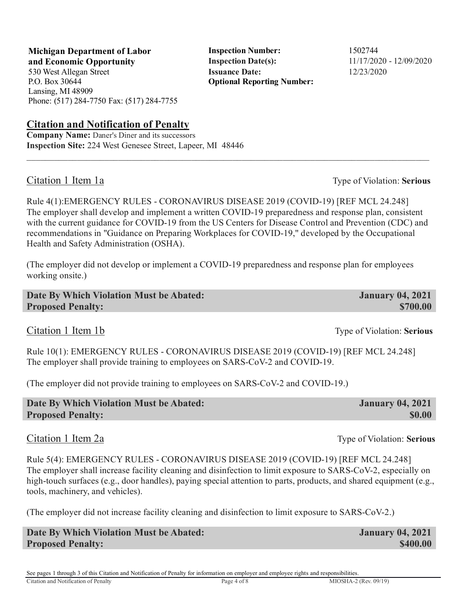**Michigan Department of Labor Inspection Number:** 1502744 **and Economic Opportunity Inspection Date(s):**  $11/17/2020 - 12/09/2020$ 530 West Allegan Street **Issuance Date:** 12/23/2020

P.O. Box 30644 Lansing, MI 48909 Phone: (517) 284-7750 Fax: (517) 284-7755

## **Citation and Notification of Penalty**

**Company Name:** Daner's Diner and its successors **Inspection Site:** 224 West Genesee Street, Lapeer, MI 48446

Citation 1 Item 1a Type of Violation: **Serious**

Rule 4(1):EMERGENCY RULES - CORONAVIRUS DISEASE 2019 (COVID-19) [REF MCL 24.248] The employer shall develop and implement a written COVID-19 preparedness and response plan, consistent with the current guidance for COVID-19 from the US Centers for Disease Control and Prevention (CDC) and recommendations in "Guidance on Preparing Workplaces for COVID-19," developed by the Occupational Health and Safety Administration (OSHA).

 $\_$  ,  $\_$  ,  $\_$  ,  $\_$  ,  $\_$  ,  $\_$  ,  $\_$  ,  $\_$  ,  $\_$  ,  $\_$  ,  $\_$  ,  $\_$  ,  $\_$  ,  $\_$  ,  $\_$  ,  $\_$  ,  $\_$  ,  $\_$  ,  $\_$  ,  $\_$  ,  $\_$  ,  $\_$  ,  $\_$  ,  $\_$  ,  $\_$  ,  $\_$  ,  $\_$  ,  $\_$  ,  $\_$  ,  $\_$  ,  $\_$  ,  $\_$  ,  $\_$  ,  $\_$  ,  $\_$  ,  $\_$  ,  $\_$  ,

**Optional Reporting Number:** 

(The employer did not develop or implement a COVID-19 preparedness and response plan for employees working onsite.)

| Date By Which Violation Must be Abated: | <b>January 04, 2021</b> |
|-----------------------------------------|-------------------------|
| <b>Proposed Penalty:</b>                | \$700.00                |

Rule 10(1): EMERGENCY RULES - CORONAVIRUS DISEASE 2019 (COVID-19) [REF MCL 24.248] The employer shall provide training to employees on SARS-CoV-2 and COVID-19.

(The employer did not provide training to employees on SARS-CoV-2 and COVID-19.)

| Date By Which Violation Must be Abated: | <b>January 04, 2021</b> |
|-----------------------------------------|-------------------------|
| <b>Proposed Penalty:</b>                | <b>SO.00</b>            |

Citation 1 Item 2a Type of Violation: **Serious** 

Rule 5(4): EMERGENCY RULES - CORONAVIRUS DISEASE 2019 (COVID-19) [REF MCL 24.248] The employer shall increase facility cleaning and disinfection to limit exposure to SARS-CoV-2, especially on high-touch surfaces (e.g., door handles), paying special attention to parts, products, and shared equipment (e.g., tools, machinery, and vehicles).

(The employer did not increase facility cleaning and disinfection to limit exposure to SARS-CoV-2.)

| Date By Which Violation Must be Abated: | <b>January 04, 2021</b> |
|-----------------------------------------|-------------------------|
| <b>Proposed Penalty:</b>                | \$400.00                |

See pages 1 through 3 of this Citation and Notification of Penalty for information on employer and employee rights and responsibilities.

Citation and Notification of Penalty Page 4 of 8 MIOSHA-2 (Rev. 09/19)

Citation 1 Item 1b Type of Violation: **Serious**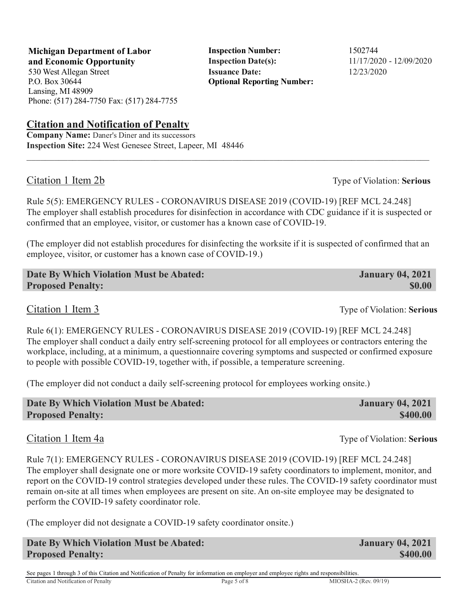**Michigan Department of Labor Inspection Number:** 1502744 **and Economic Opportunity Inspection Date(s):**  $11/17/2020 - 12/09/2020$ 530 West Allegan Street **Issuance Date:** 12/23/2020

P.O. Box 30644 Lansing, MI 48909 Phone: (517) 284-7750 Fax: (517) 284-7755

# **Citation and Notification of Penalty**

**Company Name:** Daner's Diner and its successors **Inspection Site:** 224 West Genesee Street, Lapeer, MI 48446

# Citation 1 Item 2b Type of Violation: **Serious**

Rule 5(5): EMERGENCY RULES - CORONAVIRUS DISEASE 2019 (COVID-19) [REF MCL 24.248] The employer shall establish procedures for disinfection in accordance with CDC guidance if it is suspected or confirmed that an employee, visitor, or customer has a known case of COVID-19.

 $\_$  ,  $\_$  ,  $\_$  ,  $\_$  ,  $\_$  ,  $\_$  ,  $\_$  ,  $\_$  ,  $\_$  ,  $\_$  ,  $\_$  ,  $\_$  ,  $\_$  ,  $\_$  ,  $\_$  ,  $\_$  ,  $\_$  ,  $\_$  ,  $\_$  ,  $\_$  ,  $\_$  ,  $\_$  ,  $\_$  ,  $\_$  ,  $\_$  ,  $\_$  ,  $\_$  ,  $\_$  ,  $\_$  ,  $\_$  ,  $\_$  ,  $\_$  ,  $\_$  ,  $\_$  ,  $\_$  ,  $\_$  ,  $\_$  ,

(The employer did not establish procedures for disinfecting the worksite if it is suspected of confirmed that an employee, visitor, or customer has a known case of COVID-19.)

**Date By Which Violation Must be Abated: January 04, 2021 Proposed Penalty:** \$0.00

Citation 1 Item 3 Type of Violation: **Serious** 

Rule 6(1): EMERGENCY RULES - CORONAVIRUS DISEASE 2019 (COVID-19) [REF MCL 24.248] The employer shall conduct a daily entry self-screening protocol for all employees or contractors entering the workplace, including, at a minimum, a questionnaire covering symptoms and suspected or confirmed exposure to people with possible COVID-19, together with, if possible, a temperature screening.

(The employer did not conduct a daily self-screening protocol for employees working onsite.)

| Date By Which Violation Must be Abated: | <b>January 04, 2021</b> |
|-----------------------------------------|-------------------------|
| <b>Proposed Penalty:</b>                | \$400.00                |

#### Citation 1 Item 4a Type of Violation: **Serious**

Rule 7(1): EMERGENCY RULES - CORONAVIRUS DISEASE 2019 (COVID-19) [REF MCL 24.248] The employer shall designate one or more worksite COVID-19 safety coordinators to implement, monitor, and report on the COVID-19 control strategies developed under these rules. The COVID-19 safety coordinator must remain on-site at all times when employees are present on site. An on-site employee may be designated to perform the COVID-19 safety coordinator role.

(The employer did not designate a COVID-19 safety coordinator onsite.)

**Date By Which Violation Must be Abated: January 04, 2021 Proposed Penalty: \$400.00 \$400.00 \$400.00 \$400.00 \$400.00 \$400.00 \$400.00** 

See pages 1 through 3 of this Citation and Notification of Penalty for information on employer and employee rights and responsibilities. Citation and Notification of Penalty Page 5 of 8 MIOSHA-2 (Rev. 09/19)

**Optional Reporting Number:**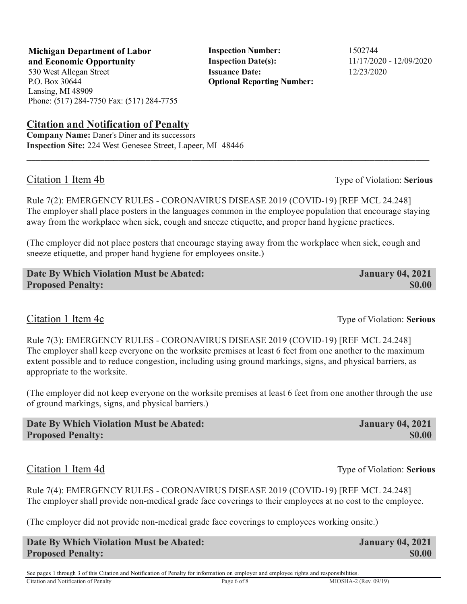**Michigan Department of Labor** Inspection Number: 1502744 **and Economic Opportunity Inspection Date(s):**  $11/17/2020 - 12/09/2020$ 530 West Allegan Street **Issuance Date:** 12/23/2020

P.O. Box 30644 Lansing, MI 48909 Phone: (517) 284-7750 Fax: (517) 284-7755

## **Citation and Notification of Penalty**

**Company Name:** Daner's Diner and its successors **Inspection Site:** 224 West Genesee Street, Lapeer, MI 48446

## Citation 1 Item 4b Type of Violation: **Serious**

Rule 7(2): EMERGENCY RULES - CORONAVIRUS DISEASE 2019 (COVID-19) [REF MCL 24.248] The employer shall place posters in the languages common in the employee population that encourage staying away from the workplace when sick, cough and sneeze etiquette, and proper hand hygiene practices.

 $\_$  ,  $\_$  ,  $\_$  ,  $\_$  ,  $\_$  ,  $\_$  ,  $\_$  ,  $\_$  ,  $\_$  ,  $\_$  ,  $\_$  ,  $\_$  ,  $\_$  ,  $\_$  ,  $\_$  ,  $\_$  ,  $\_$  ,  $\_$  ,  $\_$  ,  $\_$  ,  $\_$  ,  $\_$  ,  $\_$  ,  $\_$  ,  $\_$  ,  $\_$  ,  $\_$  ,  $\_$  ,  $\_$  ,  $\_$  ,  $\_$  ,  $\_$  ,  $\_$  ,  $\_$  ,  $\_$  ,  $\_$  ,  $\_$  ,

**Optional Reporting Number:** 

(The employer did not place posters that encourage staying away from the workplace when sick, cough and sneeze etiquette, and proper hand hygiene for employees onsite.)

**Date By Which Violation Must be Abated: January 04, 2021 Proposed Penalty:** \$0.00

Citation 1 Item 4c Type of Violation: **Serious** 

Rule 7(3): EMERGENCY RULES - CORONAVIRUS DISEASE 2019 (COVID-19) [REF MCL 24.248] The employer shall keep everyone on the worksite premises at least 6 feet from one another to the maximum extent possible and to reduce congestion, including using ground markings, signs, and physical barriers, as appropriate to the worksite.

(The employer did not keep everyone on the worksite premises at least 6 feet from one another through the use of ground markings, signs, and physical barriers.)

| Date By Which Violation Must be Abated: | <b>January 04, 2021</b> |
|-----------------------------------------|-------------------------|
| <b>Proposed Penalty:</b>                | \$0.00                  |
|                                         |                         |

# Citation 1 Item 4d Type of Violation: **Serious**

Rule 7(4): EMERGENCY RULES - CORONAVIRUS DISEASE 2019 (COVID-19) [REF MCL 24.248] The employer shall provide non-medical grade face coverings to their employees at no cost to the employee.

(The employer did not provide non-medical grade face coverings to employees working onsite.)

| Date By Which Violation Must be Abated: | <b>January 04, 2021</b> |
|-----------------------------------------|-------------------------|
| <b>Proposed Penalty:</b>                | <b>\$0.00</b>           |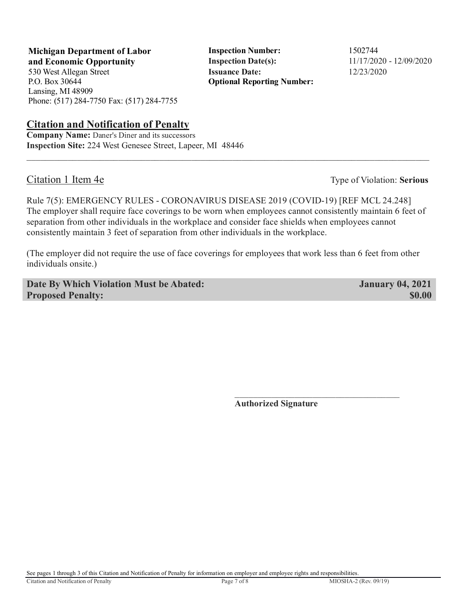**Michigan Department of Labor** Inspection Number: 1502744

P.O. Box 30644 Lansing, MI 48909 Phone: (517) 284-7750 Fax: (517) 284-7755

# **Citation and Notification of Penalty**

**Company Name:** Daner's Diner and its successors **Inspection Site:** 224 West Genesee Street, Lapeer, MI 48446

**and Economic Opportunity Inspection Date(s):** 11/17/2020 - 12/09/2020 530 West Allegan Street **Issuance Date:** 12/23/2020 **Optional Reporting Number:** 

Citation 1 Item 4e Type of Violation: **Serious** 

Rule 7(5): EMERGENCY RULES - CORONAVIRUS DISEASE 2019 (COVID-19) [REF MCL 24.248] The employer shall require face coverings to be worn when employees cannot consistently maintain 6 feet of separation from other individuals in the workplace and consider face shields when employees cannot consistently maintain 3 feet of separation from other individuals in the workplace.

 $\_$  ,  $\_$  ,  $\_$  ,  $\_$  ,  $\_$  ,  $\_$  ,  $\_$  ,  $\_$  ,  $\_$  ,  $\_$  ,  $\_$  ,  $\_$  ,  $\_$  ,  $\_$  ,  $\_$  ,  $\_$  ,  $\_$  ,  $\_$  ,  $\_$  ,  $\_$  ,  $\_$  ,  $\_$  ,  $\_$  ,  $\_$  ,  $\_$  ,  $\_$  ,  $\_$  ,  $\_$  ,  $\_$  ,  $\_$  ,  $\_$  ,  $\_$  ,  $\_$  ,  $\_$  ,  $\_$  ,  $\_$  ,  $\_$  ,

(The employer did not require the use of face coverings for employees that work less than 6 feet from other individuals onsite.)

**Date By Which Violation Must be Abated: January 04, 2021 Proposed Penalty:** \$0.00

 $\frac{1}{\sqrt{2}}$  ,  $\frac{1}{\sqrt{2}}$  ,  $\frac{1}{\sqrt{2}}$  ,  $\frac{1}{\sqrt{2}}$  ,  $\frac{1}{\sqrt{2}}$  ,  $\frac{1}{\sqrt{2}}$  ,  $\frac{1}{\sqrt{2}}$  ,  $\frac{1}{\sqrt{2}}$  ,  $\frac{1}{\sqrt{2}}$  ,  $\frac{1}{\sqrt{2}}$  ,  $\frac{1}{\sqrt{2}}$  ,  $\frac{1}{\sqrt{2}}$  ,  $\frac{1}{\sqrt{2}}$  ,  $\frac{1}{\sqrt{2}}$  ,  $\frac{1}{\sqrt{2}}$ **Authorized Signature**